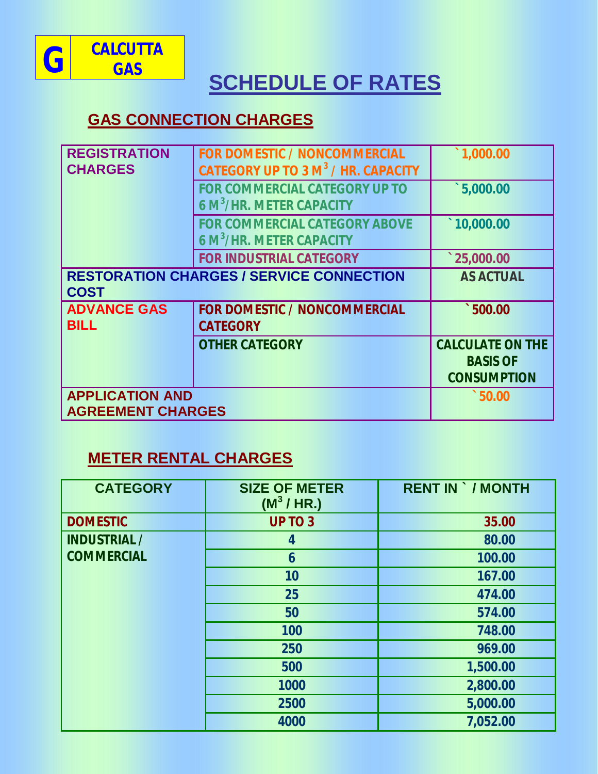

# **SCHEDULE OF RATES**

### **GAS CONNECTION CHARGES**

| <b>REGISTRATION</b><br><b>CHARGES</b>                          | <b>FOR DOMESTIC / NONCOMMERCIAL</b><br>CATEGORY UP TO 3 M <sup>3</sup> / HR. CAPACITY | 1,000.00                                                         |
|----------------------------------------------------------------|---------------------------------------------------------------------------------------|------------------------------------------------------------------|
|                                                                | <b>FOR COMMERCIAL CATEGORY UP TO</b><br><b>6 M<sup>3</sup>/HR. METER CAPACITY</b>     | 5,000.00                                                         |
|                                                                | <b>FOR COMMERCIAL CATEGORY ABOVE</b><br>6 M <sup>3</sup> /HR. METER CAPACITY          | $\hat{10,000.00}$                                                |
|                                                                | <b>FOR INDUSTRIAL CATEGORY</b>                                                        | 125,000.00                                                       |
| <b>RESTORATION CHARGES / SERVICE CONNECTION</b><br><b>COST</b> | <b>AS ACTUAL</b>                                                                      |                                                                  |
| <b>ADVANCE GAS</b><br><b>BILL</b>                              | <b>FOR DOMESTIC / NONCOMMERCIAL</b><br><b>CATEGORY</b>                                | $\degree$ 500.00                                                 |
|                                                                | <b>OTHER CATEGORY</b>                                                                 | <b>CALCULATE ON THE</b><br><b>BASIS OF</b><br><b>CONSUMPTION</b> |
| <b>APPLICATION AND</b><br><b>AGREEMENT CHARGES</b>             | $\degree$ 50.00                                                                       |                                                                  |

## **METER RENTAL CHARGES**

| <b>CATEGORY</b>     | <b>SIZE OF METER</b><br>$(M^3/HR.)$ | <b>RENT IN `/ MONTH</b> |
|---------------------|-------------------------------------|-------------------------|
| <b>DOMESTIC</b>     | <b>UP TO 3</b>                      | 35.00                   |
| <b>INDUSTRIAL /</b> | 4                                   | 80.00                   |
| <b>COMMERCIAL</b>   | $\boldsymbol{6}$                    | 100.00                  |
|                     | 10                                  | 167.00                  |
|                     | 25                                  | 474.00                  |
|                     | 50                                  | 574.00                  |
|                     | 100                                 | 748.00                  |
|                     | 250                                 | 969.00                  |
|                     | 500                                 | 1,500.00                |
|                     | 1000                                | 2,800.00                |
|                     | 2500                                | 5,000.00                |
|                     | 4000                                | 7,052.00                |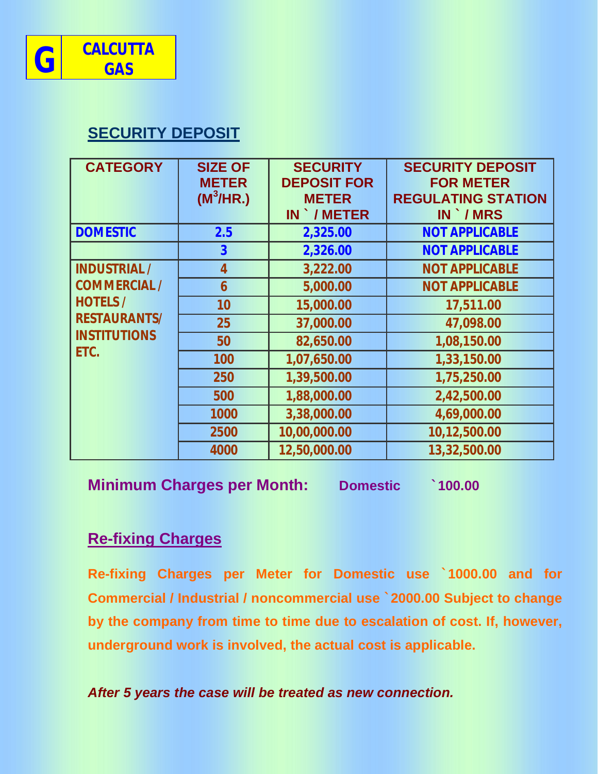

### **SECURITY DEPOSIT**

| <b>CATEGORY</b>                                                                                                     | <b>SIZE OF</b><br><b>METER</b><br>(M <sup>3</sup> /HR.) | <b>SECURITY</b><br><b>DEPOSIT FOR</b><br><b>METER</b><br><b>IN `/METER</b> | <b>SECURITY DEPOSIT</b><br><b>FOR METER</b><br><b>REGULATING STATION</b><br>IN MRS |
|---------------------------------------------------------------------------------------------------------------------|---------------------------------------------------------|----------------------------------------------------------------------------|------------------------------------------------------------------------------------|
| <b>DOMESTIC</b>                                                                                                     | 2.5                                                     | 2,325.00                                                                   | <b>NOT APPLICABLE</b>                                                              |
|                                                                                                                     | $\overline{\mathbf{3}}$                                 | 2,326.00                                                                   | <b>NOT APPLICABLE</b>                                                              |
| <b>INDUSTRIAL /</b><br><b>COMMERCIAL /</b><br><b>HOTELS /</b><br><b>RESTAURANTS/</b><br><b>INSTITUTIONS</b><br>ETC. | $\overline{4}$                                          | 3,222.00                                                                   | <b>NOT APPLICABLE</b>                                                              |
|                                                                                                                     | 6                                                       | 5,000.00                                                                   | <b>NOT APPLICABLE</b>                                                              |
|                                                                                                                     | 10                                                      | 15,000.00                                                                  | 17,511.00                                                                          |
|                                                                                                                     | 25                                                      | 37,000.00                                                                  | 47,098.00                                                                          |
|                                                                                                                     | 50                                                      | 82,650.00                                                                  | 1,08,150.00                                                                        |
|                                                                                                                     | 100                                                     | 1,07,650.00                                                                | 1,33,150.00                                                                        |
|                                                                                                                     | 250                                                     | 1,39,500.00                                                                | 1,75,250.00                                                                        |
|                                                                                                                     | 500                                                     | 1,88,000.00                                                                | 2,42,500.00                                                                        |
|                                                                                                                     | 1000                                                    | 3,38,000.00                                                                | 4,69,000.00                                                                        |
|                                                                                                                     | 2500                                                    | 10,00,000.00                                                               | 10,12,500.00                                                                       |
|                                                                                                                     | 4000                                                    | 12,50,000.00                                                               | 13,32,500.00                                                                       |

**Minimum Charges per Month: Domestic `100.00**

#### **Re-fixing Charges**

**Re-fixing Charges per Meter for Domestic use `1000.00 and for Commercial / Industrial / noncommercial use `2000.00 Subject to change by the company from time to time due to escalation of cost. If, however, underground work is involved, the actual cost is applicable.**

*After 5 years the case will be treated as new connection.*